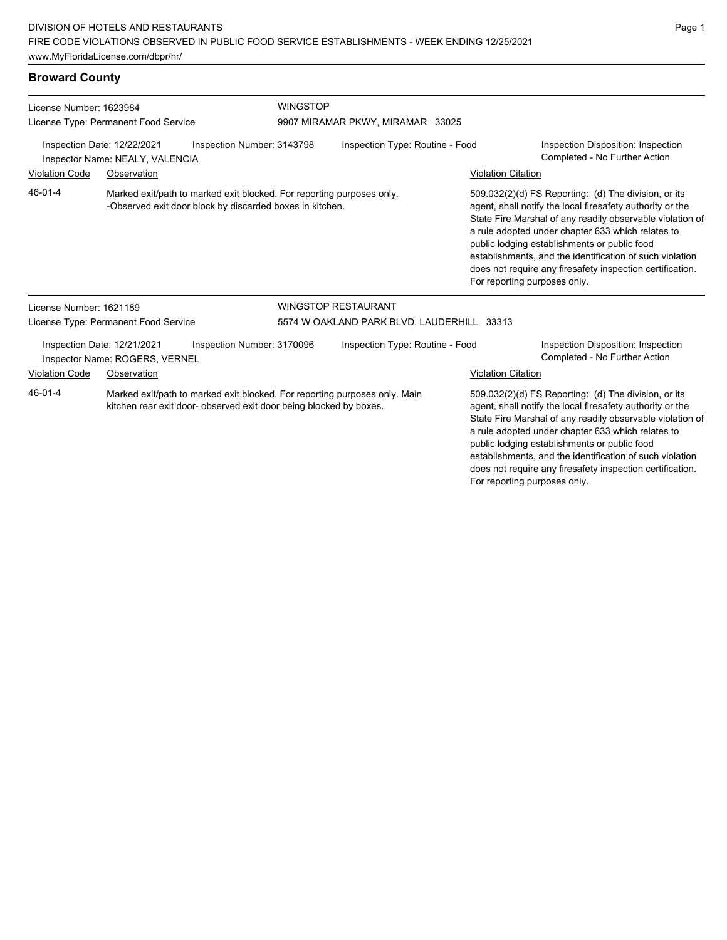# **Broward County**

| License Number: 1623984<br>License Type: Permanent Food Service                              |                                                               | <b>WINGSTOP</b><br>9907 MIRAMAR PKWY, MIRAMAR 33025                                                                                              |                                                                       |                                 |                                                                                                                                                                                                                                                                                                                                                                                                                                              |                                                                                                                                                                                                                                     |  |
|----------------------------------------------------------------------------------------------|---------------------------------------------------------------|--------------------------------------------------------------------------------------------------------------------------------------------------|-----------------------------------------------------------------------|---------------------------------|----------------------------------------------------------------------------------------------------------------------------------------------------------------------------------------------------------------------------------------------------------------------------------------------------------------------------------------------------------------------------------------------------------------------------------------------|-------------------------------------------------------------------------------------------------------------------------------------------------------------------------------------------------------------------------------------|--|
| Inspection Date: 12/22/2021<br>Inspection Number: 3143798<br>Inspector Name: NEALY, VALENCIA |                                                               |                                                                                                                                                  | Inspection Type: Routine - Food                                       |                                 |                                                                                                                                                                                                                                                                                                                                                                                                                                              | Inspection Disposition: Inspection<br>Completed - No Further Action                                                                                                                                                                 |  |
| <b>Violation Code</b>                                                                        | Observation                                                   |                                                                                                                                                  |                                                                       |                                 | <b>Violation Citation</b>                                                                                                                                                                                                                                                                                                                                                                                                                    |                                                                                                                                                                                                                                     |  |
| 46-01-4                                                                                      |                                                               | -Observed exit door block by discarded boxes in kitchen.                                                                                         | Marked exit/path to marked exit blocked. For reporting purposes only. |                                 | 509.032(2)(d) FS Reporting: (d) The division, or its<br>agent, shall notify the local firesafety authority or the<br>State Fire Marshal of any readily observable violation of<br>a rule adopted under chapter 633 which relates to<br>public lodging establishments or public food<br>establishments, and the identification of such violation<br>does not require any firesafety inspection certification.<br>For reporting purposes only. |                                                                                                                                                                                                                                     |  |
| License Number: 1621189                                                                      |                                                               |                                                                                                                                                  |                                                                       | <b>WINGSTOP RESTAURANT</b>      |                                                                                                                                                                                                                                                                                                                                                                                                                                              |                                                                                                                                                                                                                                     |  |
|                                                                                              | License Type: Permanent Food Service                          |                                                                                                                                                  | 5574 W OAKLAND PARK BLVD, LAUDERHILL 33313                            |                                 |                                                                                                                                                                                                                                                                                                                                                                                                                                              |                                                                                                                                                                                                                                     |  |
|                                                                                              | Inspection Date: 12/21/2021<br>Inspector Name: ROGERS, VERNEL | Inspection Number: 3170096                                                                                                                       |                                                                       | Inspection Type: Routine - Food |                                                                                                                                                                                                                                                                                                                                                                                                                                              | Inspection Disposition: Inspection<br>Completed - No Further Action                                                                                                                                                                 |  |
| <b>Violation Code</b>                                                                        | Observation                                                   |                                                                                                                                                  |                                                                       |                                 | <b>Violation Citation</b>                                                                                                                                                                                                                                                                                                                                                                                                                    |                                                                                                                                                                                                                                     |  |
| 46-01-4                                                                                      |                                                               | Marked exit/path to marked exit blocked. For reporting purposes only. Main<br>kitchen rear exit door- observed exit door being blocked by boxes. |                                                                       |                                 |                                                                                                                                                                                                                                                                                                                                                                                                                                              | 509.032(2)(d) FS Reporting: (d) The division, or its<br>agent, shall notify the local firesafety authority or the<br>State Fire Marshal of any readily observable violation of<br>a rule adopted under chapter 633 which relates to |  |

public lodging establishments or public food establishments, and the identification of such violation does not require any firesafety inspection certification. For reporting purposes only.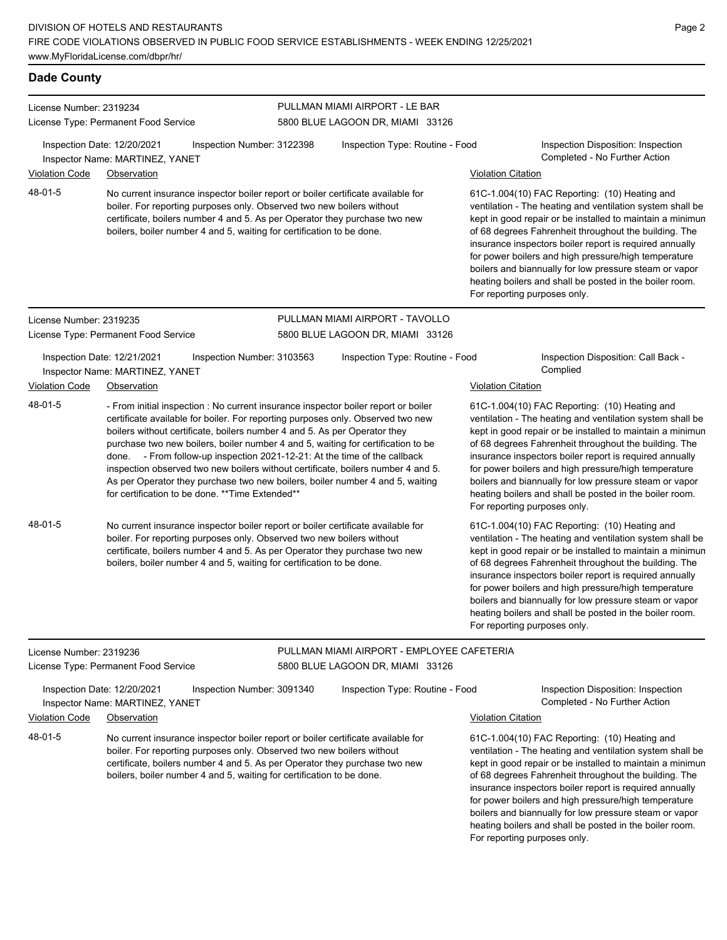certificate, boilers number 4 and 5. As per Operator they purchase two new

boilers, boiler number 4 and 5, waiting for certification to be done.

#### **Dade County**

|                         |                                                                                                                                                                                                                                                                                                                                                                                                                                                                                                                                                                                                                                              |                            | PULLMAN MIAMI AIRPORT - LE BAR             |                           |                                                                                                                                                                                                                                                                                                                                                                                                                                                                                                          |  |  |  |
|-------------------------|----------------------------------------------------------------------------------------------------------------------------------------------------------------------------------------------------------------------------------------------------------------------------------------------------------------------------------------------------------------------------------------------------------------------------------------------------------------------------------------------------------------------------------------------------------------------------------------------------------------------------------------------|----------------------------|--------------------------------------------|---------------------------|----------------------------------------------------------------------------------------------------------------------------------------------------------------------------------------------------------------------------------------------------------------------------------------------------------------------------------------------------------------------------------------------------------------------------------------------------------------------------------------------------------|--|--|--|
| License Number: 2319234 | License Type: Permanent Food Service                                                                                                                                                                                                                                                                                                                                                                                                                                                                                                                                                                                                         |                            | 5800 BLUE LAGOON DR, MIAMI 33126           |                           |                                                                                                                                                                                                                                                                                                                                                                                                                                                                                                          |  |  |  |
|                         | Inspection Date: 12/20/2021<br>Inspector Name: MARTINEZ, YANET                                                                                                                                                                                                                                                                                                                                                                                                                                                                                                                                                                               | Inspection Number: 3122398 | Inspection Type: Routine - Food            |                           | Inspection Disposition: Inspection<br>Completed - No Further Action                                                                                                                                                                                                                                                                                                                                                                                                                                      |  |  |  |
| <b>Violation Code</b>   | Observation                                                                                                                                                                                                                                                                                                                                                                                                                                                                                                                                                                                                                                  |                            |                                            | <b>Violation Citation</b> |                                                                                                                                                                                                                                                                                                                                                                                                                                                                                                          |  |  |  |
| 48-01-5                 | No current insurance inspector boiler report or boiler certificate available for<br>boiler. For reporting purposes only. Observed two new boilers without<br>certificate, boilers number 4 and 5. As per Operator they purchase two new<br>boilers, boiler number 4 and 5, waiting for certification to be done.                                                                                                                                                                                                                                                                                                                             |                            |                                            |                           | 61C-1.004(10) FAC Reporting: (10) Heating and<br>ventilation - The heating and ventilation system shall be<br>kept in good repair or be installed to maintain a minimun<br>of 68 degrees Fahrenheit throughout the building. The<br>insurance inspectors boiler report is required annually<br>for power boilers and high pressure/high temperature<br>boilers and biannually for low pressure steam or vapor<br>heating boilers and shall be posted in the boiler room.<br>For reporting purposes only. |  |  |  |
| License Number: 2319235 |                                                                                                                                                                                                                                                                                                                                                                                                                                                                                                                                                                                                                                              |                            | PULLMAN MIAMI AIRPORT - TAVOLLO            |                           |                                                                                                                                                                                                                                                                                                                                                                                                                                                                                                          |  |  |  |
|                         | License Type: Permanent Food Service                                                                                                                                                                                                                                                                                                                                                                                                                                                                                                                                                                                                         |                            | 5800 BLUE LAGOON DR, MIAMI 33126           |                           |                                                                                                                                                                                                                                                                                                                                                                                                                                                                                                          |  |  |  |
|                         | Inspection Date: 12/21/2021<br>Inspector Name: MARTINEZ, YANET                                                                                                                                                                                                                                                                                                                                                                                                                                                                                                                                                                               | Inspection Number: 3103563 | Inspection Type: Routine - Food            |                           | Inspection Disposition: Call Back -<br>Complied                                                                                                                                                                                                                                                                                                                                                                                                                                                          |  |  |  |
| Violation Code          | Observation                                                                                                                                                                                                                                                                                                                                                                                                                                                                                                                                                                                                                                  |                            |                                            | <b>Violation Citation</b> |                                                                                                                                                                                                                                                                                                                                                                                                                                                                                                          |  |  |  |
| 48-01-5                 | - From initial inspection : No current insurance inspector boiler report or boiler<br>certificate available for boiler. For reporting purposes only. Observed two new<br>boilers without certificate, boilers number 4 and 5. As per Operator they<br>purchase two new boilers, boiler number 4 and 5, waiting for certification to be<br>done. - From follow-up inspection 2021-12-21: At the time of the callback<br>inspection observed two new boilers without certificate, boilers number 4 and 5.<br>As per Operator they purchase two new boilers, boiler number 4 and 5, waiting<br>for certification to be done. ** Time Extended** |                            |                                            |                           | 61C-1.004(10) FAC Reporting: (10) Heating and<br>ventilation - The heating and ventilation system shall be<br>kept in good repair or be installed to maintain a minimun<br>of 68 degrees Fahrenheit throughout the building. The<br>insurance inspectors boiler report is required annually<br>for power boilers and high pressure/high temperature<br>boilers and biannually for low pressure steam or vapor<br>heating boilers and shall be posted in the boiler room.<br>For reporting purposes only. |  |  |  |
| 48-01-5                 | No current insurance inspector boiler report or boiler certificate available for<br>boiler. For reporting purposes only. Observed two new boilers without<br>certificate, boilers number 4 and 5. As per Operator they purchase two new<br>boilers, boiler number 4 and 5, waiting for certification to be done.                                                                                                                                                                                                                                                                                                                             |                            |                                            |                           | 61C-1.004(10) FAC Reporting: (10) Heating and<br>ventilation - The heating and ventilation system shall be<br>kept in good repair or be installed to maintain a minimun<br>of 68 degrees Fahrenheit throughout the building. The<br>insurance inspectors boiler report is required annually<br>for power boilers and high pressure/high temperature<br>boilers and biannually for low pressure steam or vapor<br>heating boilers and shall be posted in the boiler room.<br>For reporting purposes only. |  |  |  |
| License Number: 2319236 |                                                                                                                                                                                                                                                                                                                                                                                                                                                                                                                                                                                                                                              |                            | PULLMAN MIAMI AIRPORT - EMPLOYEE CAFETERIA |                           |                                                                                                                                                                                                                                                                                                                                                                                                                                                                                                          |  |  |  |
|                         | License Type: Permanent Food Service                                                                                                                                                                                                                                                                                                                                                                                                                                                                                                                                                                                                         |                            | 5800 BLUE LAGOON DR, MIAMI 33126           |                           |                                                                                                                                                                                                                                                                                                                                                                                                                                                                                                          |  |  |  |
|                         | Inspection Date: 12/20/2021<br>Inspector Name: MARTINEZ, YANET                                                                                                                                                                                                                                                                                                                                                                                                                                                                                                                                                                               | Inspection Number: 3091340 | Inspection Type: Routine - Food            |                           | Inspection Disposition: Inspection<br>Completed - No Further Action                                                                                                                                                                                                                                                                                                                                                                                                                                      |  |  |  |
| Violation Code          | Observation                                                                                                                                                                                                                                                                                                                                                                                                                                                                                                                                                                                                                                  |                            |                                            | <b>Violation Citation</b> |                                                                                                                                                                                                                                                                                                                                                                                                                                                                                                          |  |  |  |
| 48-01-5                 | No current insurance inspector boiler report or boiler certificate available for<br>boiler. For reporting purposes only. Observed two new boilers without                                                                                                                                                                                                                                                                                                                                                                                                                                                                                    |                            |                                            |                           | 61C-1.004(10) FAC Reporting: (10) Heating and<br>ventilation - The heating and ventilation system shall be                                                                                                                                                                                                                                                                                                                                                                                               |  |  |  |

ventilation - The heating and ventilation system shall be kept in good repair or be installed to maintain a minimum of 68 degrees Fahrenheit throughout the building. The insurance inspectors boiler report is required annually for power boilers and high pressure/high temperature boilers and biannually for low pressure steam or vapor heating boilers and shall be posted in the boiler room. For reporting purposes only.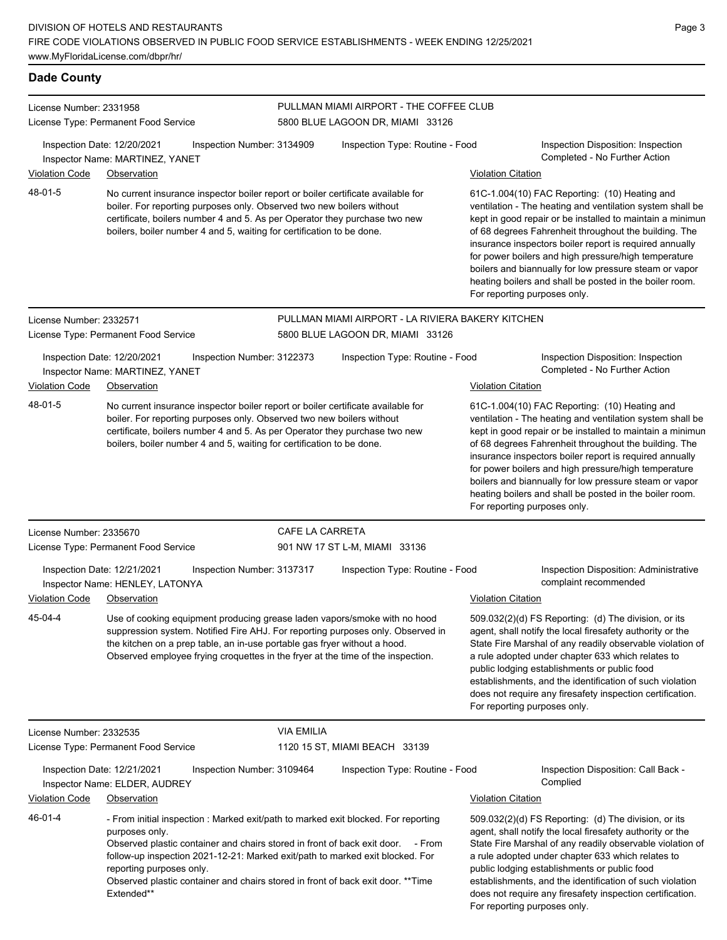### **Dade County**

| License Number: 2331958 |                                                                                                                                                                                                                                                                                                                                                                                                |                            | PULLMAN MIAMI AIRPORT - THE COFFEE CLUB                                               |                           |                                                                                                                                                                                                                                                                                                                                                                                                                                                                                                          |
|-------------------------|------------------------------------------------------------------------------------------------------------------------------------------------------------------------------------------------------------------------------------------------------------------------------------------------------------------------------------------------------------------------------------------------|----------------------------|---------------------------------------------------------------------------------------|---------------------------|----------------------------------------------------------------------------------------------------------------------------------------------------------------------------------------------------------------------------------------------------------------------------------------------------------------------------------------------------------------------------------------------------------------------------------------------------------------------------------------------------------|
|                         | License Type: Permanent Food Service                                                                                                                                                                                                                                                                                                                                                           |                            | 5800 BLUE LAGOON DR, MIAMI 33126                                                      |                           |                                                                                                                                                                                                                                                                                                                                                                                                                                                                                                          |
|                         | Inspection Date: 12/20/2021<br>Inspector Name: MARTINEZ, YANET                                                                                                                                                                                                                                                                                                                                 | Inspection Number: 3134909 | Inspection Type: Routine - Food                                                       |                           | Inspection Disposition: Inspection<br>Completed - No Further Action                                                                                                                                                                                                                                                                                                                                                                                                                                      |
| <b>Violation Code</b>   | Observation                                                                                                                                                                                                                                                                                                                                                                                    |                            |                                                                                       | <b>Violation Citation</b> |                                                                                                                                                                                                                                                                                                                                                                                                                                                                                                          |
| 48-01-5                 | No current insurance inspector boiler report or boiler certificate available for<br>boiler. For reporting purposes only. Observed two new boilers without<br>certificate, boilers number 4 and 5. As per Operator they purchase two new<br>boilers, boiler number 4 and 5, waiting for certification to be done.                                                                               |                            |                                                                                       |                           | 61C-1.004(10) FAC Reporting: (10) Heating and<br>ventilation - The heating and ventilation system shall be<br>kept in good repair or be installed to maintain a minimun<br>of 68 degrees Fahrenheit throughout the building. The<br>insurance inspectors boiler report is required annually<br>for power boilers and high pressure/high temperature<br>boilers and biannually for low pressure steam or vapor<br>heating boilers and shall be posted in the boiler room.<br>For reporting purposes only. |
| License Number: 2332571 | License Type: Permanent Food Service                                                                                                                                                                                                                                                                                                                                                           |                            | PULLMAN MIAMI AIRPORT - LA RIVIERA BAKERY KITCHEN<br>5800 BLUE LAGOON DR, MIAMI 33126 |                           |                                                                                                                                                                                                                                                                                                                                                                                                                                                                                                          |
|                         | Inspection Date: 12/20/2021<br>Inspector Name: MARTINEZ, YANET                                                                                                                                                                                                                                                                                                                                 | Inspection Number: 3122373 | Inspection Type: Routine - Food                                                       |                           | Inspection Disposition: Inspection<br>Completed - No Further Action                                                                                                                                                                                                                                                                                                                                                                                                                                      |
| <b>Violation Code</b>   | Observation                                                                                                                                                                                                                                                                                                                                                                                    |                            |                                                                                       | <b>Violation Citation</b> |                                                                                                                                                                                                                                                                                                                                                                                                                                                                                                          |
| 48-01-5                 | No current insurance inspector boiler report or boiler certificate available for<br>boiler. For reporting purposes only. Observed two new boilers without<br>certificate, boilers number 4 and 5. As per Operator they purchase two new<br>boilers, boiler number 4 and 5, waiting for certification to be done.                                                                               |                            |                                                                                       |                           | 61C-1.004(10) FAC Reporting: (10) Heating and<br>ventilation - The heating and ventilation system shall be<br>kept in good repair or be installed to maintain a minimun<br>of 68 degrees Fahrenheit throughout the building. The<br>insurance inspectors boiler report is required annually<br>for power boilers and high pressure/high temperature<br>boilers and biannually for low pressure steam or vapor<br>heating boilers and shall be posted in the boiler room.<br>For reporting purposes only. |
| License Number: 2335670 |                                                                                                                                                                                                                                                                                                                                                                                                | CAFE LA CARRETA            |                                                                                       |                           |                                                                                                                                                                                                                                                                                                                                                                                                                                                                                                          |
|                         | License Type: Permanent Food Service                                                                                                                                                                                                                                                                                                                                                           |                            | 901 NW 17 ST L-M, MIAMI 33136                                                         |                           |                                                                                                                                                                                                                                                                                                                                                                                                                                                                                                          |
|                         | Inspection Date: 12/21/2021<br>Inspector Name: HENLEY, LATONYA                                                                                                                                                                                                                                                                                                                                 | Inspection Number: 3137317 | Inspection Type: Routine - Food                                                       |                           | Inspection Disposition: Administrative<br>complaint recommended                                                                                                                                                                                                                                                                                                                                                                                                                                          |
| <b>Violation Code</b>   | Observation                                                                                                                                                                                                                                                                                                                                                                                    |                            |                                                                                       | <b>Violation Citation</b> |                                                                                                                                                                                                                                                                                                                                                                                                                                                                                                          |
| 45-04-4                 | Use of cooking equipment producing grease laden vapors/smoke with no hood<br>suppression system. Notified Fire AHJ. For reporting purposes only. Observed in<br>the kitchen on a prep table, an in-use portable gas fryer without a hood.<br>Observed employee frying croquettes in the fryer at the time of the inspection.                                                                   |                            |                                                                                       |                           | 509.032(2)(d) FS Reporting: (d) The division, or its<br>agent, shall notify the local firesafety authority or the<br>State Fire Marshal of any readily observable violation of<br>a rule adopted under chapter 633 which relates to<br>public lodging establishments or public food<br>establishments, and the identification of such violation<br>does not require any firesafety inspection certification.<br>For reporting purposes only.                                                             |
| License Number: 2332535 |                                                                                                                                                                                                                                                                                                                                                                                                | <b>VIA EMILIA</b>          |                                                                                       |                           |                                                                                                                                                                                                                                                                                                                                                                                                                                                                                                          |
|                         | License Type: Permanent Food Service                                                                                                                                                                                                                                                                                                                                                           |                            | 1120 15 ST, MIAMI BEACH 33139                                                         |                           |                                                                                                                                                                                                                                                                                                                                                                                                                                                                                                          |
|                         | Inspection Date: 12/21/2021<br>Inspector Name: ELDER, AUDREY                                                                                                                                                                                                                                                                                                                                   | Inspection Number: 3109464 | Inspection Type: Routine - Food                                                       |                           | Inspection Disposition: Call Back -<br>Complied                                                                                                                                                                                                                                                                                                                                                                                                                                                          |
| Violation Code          | Observation                                                                                                                                                                                                                                                                                                                                                                                    |                            |                                                                                       | <b>Violation Citation</b> |                                                                                                                                                                                                                                                                                                                                                                                                                                                                                                          |
| 46-01-4                 | - From initial inspection : Marked exit/path to marked exit blocked. For reporting<br>purposes only.<br>Observed plastic container and chairs stored in front of back exit door.<br>follow-up inspection 2021-12-21: Marked exit/path to marked exit blocked. For<br>reporting purposes only.<br>Observed plastic container and chairs stored in front of back exit door. **Time<br>Extended** |                            | - From                                                                                |                           | 509.032(2)(d) FS Reporting: (d) The division, or its<br>agent, shall notify the local firesafety authority or the<br>State Fire Marshal of any readily observable violation of<br>a rule adopted under chapter 633 which relates to<br>public lodging establishments or public food<br>establishments, and the identification of such violation<br>does not require any firesafety inspection certification.<br>For reporting purposes only.                                                             |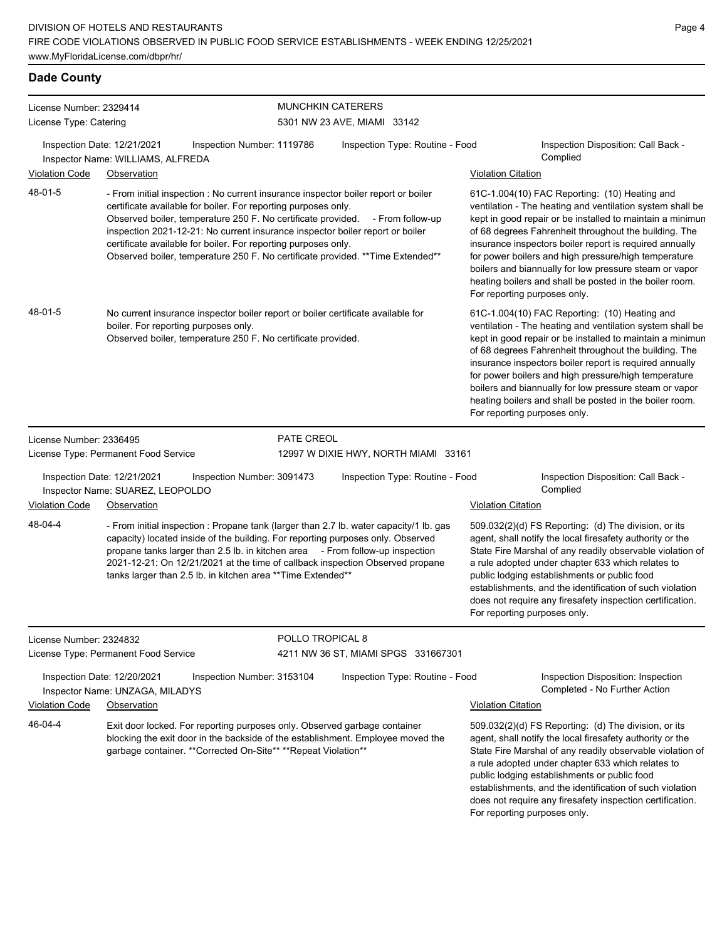# **Dade County**

| License Number: 2329414<br>License Type: Catering |                                                                                                                                                                                                                                                                                                                                                                                                                                                            |                            | <b>MUNCHKIN CATERERS</b><br>5301 NW 23 AVE, MIAMI 33142 |                              |                                                                                                                                                                                                                                                                                                                                                                                                                                                                          |
|---------------------------------------------------|------------------------------------------------------------------------------------------------------------------------------------------------------------------------------------------------------------------------------------------------------------------------------------------------------------------------------------------------------------------------------------------------------------------------------------------------------------|----------------------------|---------------------------------------------------------|------------------------------|--------------------------------------------------------------------------------------------------------------------------------------------------------------------------------------------------------------------------------------------------------------------------------------------------------------------------------------------------------------------------------------------------------------------------------------------------------------------------|
|                                                   | Inspection Date: 12/21/2021<br>Inspector Name: WILLIAMS, ALFREDA                                                                                                                                                                                                                                                                                                                                                                                           | Inspection Number: 1119786 | Inspection Type: Routine - Food                         |                              | Inspection Disposition: Call Back -<br>Complied                                                                                                                                                                                                                                                                                                                                                                                                                          |
| <b>Violation Code</b>                             | Observation                                                                                                                                                                                                                                                                                                                                                                                                                                                |                            |                                                         | <b>Violation Citation</b>    |                                                                                                                                                                                                                                                                                                                                                                                                                                                                          |
| 48-01-5                                           | - From initial inspection : No current insurance inspector boiler report or boiler<br>certificate available for boiler. For reporting purposes only.<br>Observed boiler, temperature 250 F. No certificate provided.<br>inspection 2021-12-21: No current insurance inspector boiler report or boiler<br>certificate available for boiler. For reporting purposes only.<br>Observed boiler, temperature 250 F. No certificate provided. ** Time Extended** |                            | - From follow-up                                        | For reporting purposes only. | 61C-1.004(10) FAC Reporting: (10) Heating and<br>ventilation - The heating and ventilation system shall be<br>kept in good repair or be installed to maintain a minimun<br>of 68 degrees Fahrenheit throughout the building. The<br>insurance inspectors boiler report is required annually<br>for power boilers and high pressure/high temperature<br>boilers and biannually for low pressure steam or vapor<br>heating boilers and shall be posted in the boiler room. |
| 48-01-5                                           | No current insurance inspector boiler report or boiler certificate available for<br>boiler. For reporting purposes only.<br>Observed boiler, temperature 250 F. No certificate provided.                                                                                                                                                                                                                                                                   |                            |                                                         | For reporting purposes only. | 61C-1.004(10) FAC Reporting: (10) Heating and<br>ventilation - The heating and ventilation system shall be<br>kept in good repair or be installed to maintain a minimun<br>of 68 degrees Fahrenheit throughout the building. The<br>insurance inspectors boiler report is required annually<br>for power boilers and high pressure/high temperature<br>boilers and biannually for low pressure steam or vapor<br>heating boilers and shall be posted in the boiler room. |
| License Number: 2336495                           |                                                                                                                                                                                                                                                                                                                                                                                                                                                            | <b>PATE CREOL</b>          |                                                         |                              |                                                                                                                                                                                                                                                                                                                                                                                                                                                                          |
|                                                   | License Type: Permanent Food Service                                                                                                                                                                                                                                                                                                                                                                                                                       |                            | 12997 W DIXIE HWY, NORTH MIAMI 33161                    |                              |                                                                                                                                                                                                                                                                                                                                                                                                                                                                          |
|                                                   | Inspection Date: 12/21/2021<br>Inspector Name: SUAREZ, LEOPOLDO                                                                                                                                                                                                                                                                                                                                                                                            | Inspection Number: 3091473 | Inspection Type: Routine - Food                         |                              | Inspection Disposition: Call Back -<br>Complied                                                                                                                                                                                                                                                                                                                                                                                                                          |
| <b>Violation Code</b>                             | Observation                                                                                                                                                                                                                                                                                                                                                                                                                                                |                            |                                                         | <b>Violation Citation</b>    |                                                                                                                                                                                                                                                                                                                                                                                                                                                                          |
| 48-04-4                                           | - From initial inspection : Propane tank (larger than 2.7 lb. water capacity/1 lb. gas<br>capacity) located inside of the building. For reporting purposes only. Observed<br>propane tanks larger than 2.5 lb. in kitchen area - From follow-up inspection<br>2021-12-21: On 12/21/2021 at the time of callback inspection Observed propane<br>tanks larger than 2.5 lb. in kitchen area ** Time Extended**                                                |                            |                                                         | For reporting purposes only. | 509.032(2)(d) FS Reporting: (d) The division, or its<br>agent, shall notify the local firesafety authority or the<br>State Fire Marshal of any readily observable violation of<br>a rule adopted under chapter 633 which relates to<br>public lodging establishments or public food<br>establishments, and the identification of such violation<br>does not require any firesafety inspection certification.                                                             |
| License Number: 2324832                           |                                                                                                                                                                                                                                                                                                                                                                                                                                                            | POLLO TROPICAL 8           |                                                         |                              |                                                                                                                                                                                                                                                                                                                                                                                                                                                                          |
|                                                   | License Type: Permanent Food Service                                                                                                                                                                                                                                                                                                                                                                                                                       |                            | 4211 NW 36 ST, MIAMI SPGS 331667301                     |                              |                                                                                                                                                                                                                                                                                                                                                                                                                                                                          |
|                                                   | Inspection Date: 12/20/2021<br>Inspector Name: UNZAGA, MILADYS                                                                                                                                                                                                                                                                                                                                                                                             | Inspection Number: 3153104 | Inspection Type: Routine - Food                         |                              | Inspection Disposition: Inspection<br>Completed - No Further Action                                                                                                                                                                                                                                                                                                                                                                                                      |
| <b>Violation Code</b>                             | Observation                                                                                                                                                                                                                                                                                                                                                                                                                                                |                            |                                                         | <b>Violation Citation</b>    |                                                                                                                                                                                                                                                                                                                                                                                                                                                                          |
| 46-04-4                                           | Exit door locked. For reporting purposes only. Observed garbage container<br>blocking the exit door in the backside of the establishment. Employee moved the<br>garbage container. ** Corrected On-Site** ** Repeat Violation**                                                                                                                                                                                                                            |                            |                                                         |                              | 509.032(2)(d) FS Reporting: (d) The division, or its<br>agent, shall notify the local firesafety authority or the<br>State Fire Marshal of any readily observable violation of<br>a rule adopted under chapter 633 which relates to<br>public lodging establishments or public food<br>establishments, and the identification of such violation                                                                                                                          |

does not require any firesafety inspection certification.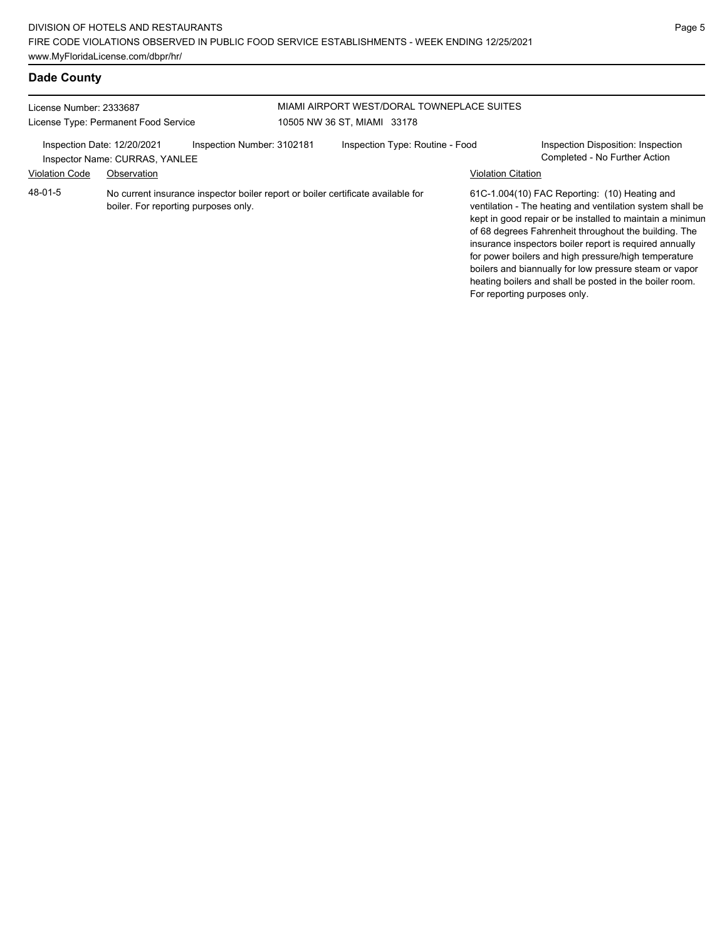#### **Dade County**

| License Number: 2333687<br>License Type: Permanent Food Service                                                                     |                                | MIAMI AIRPORT WEST/DORAL TOWNEPLACE SUITES<br>10505 NW 36 ST, MIAMI 33178 |                                 |                           |                                                                                                                                                                                                                                                                                          |
|-------------------------------------------------------------------------------------------------------------------------------------|--------------------------------|---------------------------------------------------------------------------|---------------------------------|---------------------------|------------------------------------------------------------------------------------------------------------------------------------------------------------------------------------------------------------------------------------------------------------------------------------------|
| Inspection Date: 12/20/2021                                                                                                         | Inspector Name: CURRAS, YANLEE | Inspection Number: 3102181                                                | Inspection Type: Routine - Food |                           | Inspection Disposition: Inspection<br>Completed - No Further Action                                                                                                                                                                                                                      |
| <b>Violation Code</b>                                                                                                               | Observation                    |                                                                           |                                 | <b>Violation Citation</b> |                                                                                                                                                                                                                                                                                          |
| 48-01-5<br>No current insurance inspector boiler report or boiler certificate available for<br>boiler. For reporting purposes only. |                                |                                                                           |                                 |                           | 61C-1.004(10) FAC Reporting: (10) Heating and<br>ventilation - The heating and ventilation system shall I<br>kept in good repair or be installed to maintain a minim<br>of 68 degrees Fahrenheit throughout the building. The<br>insurance inspectors boiler report is required annually |

ventilation - The heating and ventilation system shall be kept in good repair or be installed to maintain a minimum of 68 degrees Fahrenheit throughout the building. The insurance inspectors boiler report is required annually for power boilers and high pressure/high temperature boilers and biannually for low pressure steam or vapor heating boilers and shall be posted in the boiler room. For reporting purposes only.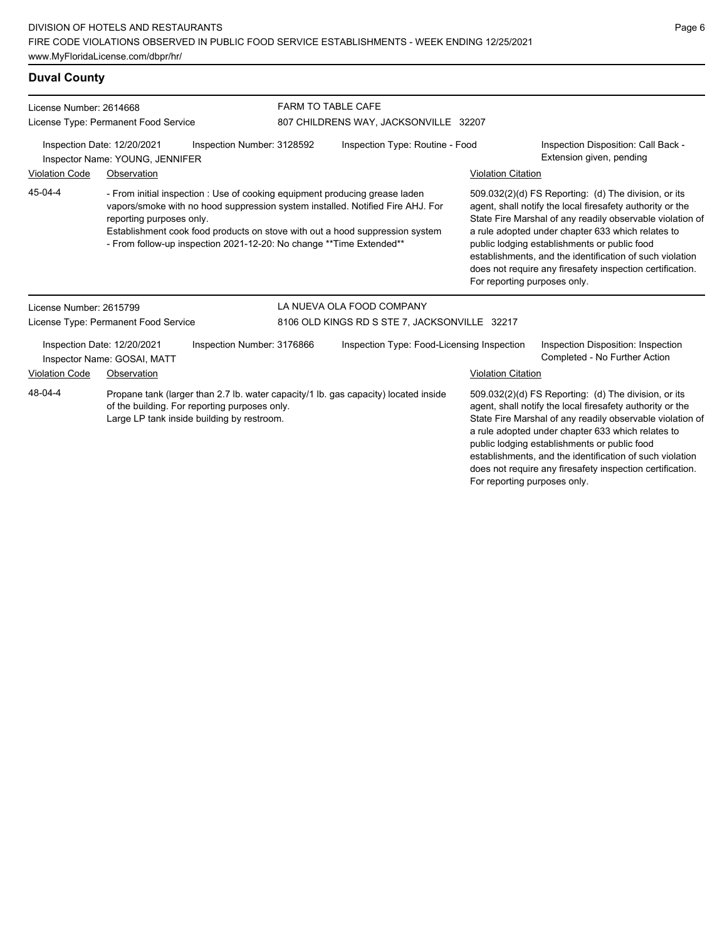### **Duval County**

| License Number: 2614668<br>License Type: Permanent Food Service                                                                                                                                                                                                                                                                                              |                                                            |                                                                                             | <b>FARM TO TABLE CAFE</b><br>807 CHILDRENS WAY, JACKSONVILLE 32207 |                                                                                     |                                                                                                                                                                                                                                                                                                                                                                                                              |                                                                                                                                                                                                                                                                                                                                                 |
|--------------------------------------------------------------------------------------------------------------------------------------------------------------------------------------------------------------------------------------------------------------------------------------------------------------------------------------------------------------|------------------------------------------------------------|---------------------------------------------------------------------------------------------|--------------------------------------------------------------------|-------------------------------------------------------------------------------------|--------------------------------------------------------------------------------------------------------------------------------------------------------------------------------------------------------------------------------------------------------------------------------------------------------------------------------------------------------------------------------------------------------------|-------------------------------------------------------------------------------------------------------------------------------------------------------------------------------------------------------------------------------------------------------------------------------------------------------------------------------------------------|
| Inspection Date: 12/20/2021<br>Inspection Number: 3128592<br>Inspector Name: YOUNG, JENNIFER                                                                                                                                                                                                                                                                 |                                                            |                                                                                             |                                                                    | Inspection Type: Routine - Food                                                     |                                                                                                                                                                                                                                                                                                                                                                                                              | Inspection Disposition: Call Back -<br>Extension given, pending                                                                                                                                                                                                                                                                                 |
| <b>Violation Code</b>                                                                                                                                                                                                                                                                                                                                        | Observation                                                |                                                                                             |                                                                    |                                                                                     | <b>Violation Citation</b>                                                                                                                                                                                                                                                                                                                                                                                    |                                                                                                                                                                                                                                                                                                                                                 |
| 45-04-4<br>- From initial inspection : Use of cooking equipment producing grease laden<br>vapors/smoke with no hood suppression system installed. Notified Fire AHJ. For<br>reporting purposes only.<br>Establishment cook food products on stove with out a hood suppression system<br>- From follow-up inspection 2021-12-20: No change ** Time Extended** |                                                            |                                                                                             |                                                                    | For reporting purposes only.                                                        | 509.032(2)(d) FS Reporting: (d) The division, or its<br>agent, shall notify the local firesafety authority or the<br>State Fire Marshal of any readily observable violation of<br>a rule adopted under chapter 633 which relates to<br>public lodging establishments or public food<br>establishments, and the identification of such violation<br>does not require any firesafety inspection certification. |                                                                                                                                                                                                                                                                                                                                                 |
| License Number: 2615799                                                                                                                                                                                                                                                                                                                                      |                                                            |                                                                                             |                                                                    | LA NUEVA OLA FOOD COMPANY                                                           |                                                                                                                                                                                                                                                                                                                                                                                                              |                                                                                                                                                                                                                                                                                                                                                 |
|                                                                                                                                                                                                                                                                                                                                                              | License Type: Permanent Food Service                       |                                                                                             | 8106 OLD KINGS RD S STE 7, JACKSONVILLE 32217                      |                                                                                     |                                                                                                                                                                                                                                                                                                                                                                                                              |                                                                                                                                                                                                                                                                                                                                                 |
|                                                                                                                                                                                                                                                                                                                                                              | Inspection Date: 12/20/2021<br>Inspector Name: GOSAI, MATT | Inspection Number: 3176866                                                                  |                                                                    | Inspection Type: Food-Licensing Inspection                                          |                                                                                                                                                                                                                                                                                                                                                                                                              | Inspection Disposition: Inspection<br>Completed - No Further Action                                                                                                                                                                                                                                                                             |
| <b>Violation Code</b>                                                                                                                                                                                                                                                                                                                                        | Observation                                                |                                                                                             |                                                                    |                                                                                     | <b>Violation Citation</b>                                                                                                                                                                                                                                                                                                                                                                                    |                                                                                                                                                                                                                                                                                                                                                 |
| 48-04-4                                                                                                                                                                                                                                                                                                                                                      |                                                            | of the building. For reporting purposes only.<br>Large LP tank inside building by restroom. |                                                                    | Propane tank (larger than 2.7 lb. water capacity/1 lb. gas capacity) located inside |                                                                                                                                                                                                                                                                                                                                                                                                              | 509.032(2)(d) FS Reporting: (d) The division, or its<br>agent, shall notify the local firesafety authority or the<br>State Fire Marshal of any readily observable violation of<br>a rule adopted under chapter 633 which relates to<br>public lodging establishments or public food<br>establishments, and the identification of such violation |

does not require any firesafety inspection certification.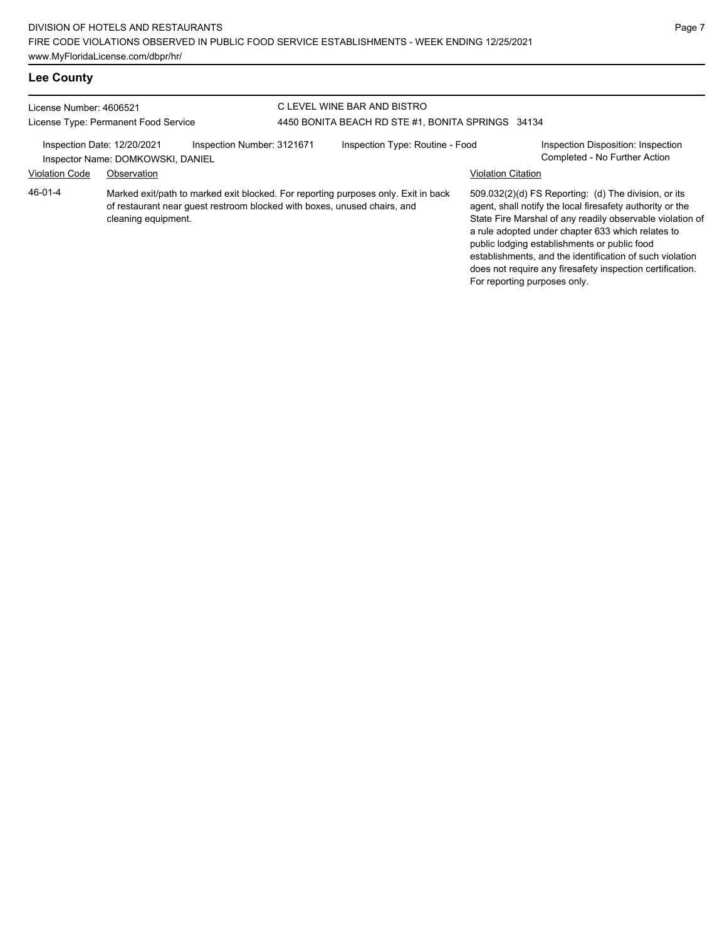# **Lee County**

| License Number: 4606521                                                                        |                     | C LEVEL WINE BAR AND BISTRO                                              |                                                                                    |                           |                                                                                                                                                                                                                                                                                                                                                                                                              |  |
|------------------------------------------------------------------------------------------------|---------------------|--------------------------------------------------------------------------|------------------------------------------------------------------------------------|---------------------------|--------------------------------------------------------------------------------------------------------------------------------------------------------------------------------------------------------------------------------------------------------------------------------------------------------------------------------------------------------------------------------------------------------------|--|
| License Type: Permanent Food Service                                                           |                     | 4450 BONITA BEACH RD STE #1, BONITA SPRINGS 34134                        |                                                                                    |                           |                                                                                                                                                                                                                                                                                                                                                                                                              |  |
| Inspection Number: 3121671<br>Inspection Date: 12/20/2021<br>Inspector Name: DOMKOWSKI, DANIEL |                     |                                                                          | Inspection Type: Routine - Food                                                    |                           | Inspection Disposition: Inspection<br>Completed - No Further Action                                                                                                                                                                                                                                                                                                                                          |  |
| <b>Violation Code</b>                                                                          | Observation         |                                                                          |                                                                                    | <b>Violation Citation</b> |                                                                                                                                                                                                                                                                                                                                                                                                              |  |
| 46-01-4                                                                                        | cleaning equipment. | of restaurant near quest restroom blocked with boxes, unused chairs, and | Marked exit/path to marked exit blocked. For reporting purposes only. Exit in back |                           | 509.032(2)(d) FS Reporting: (d) The division, or its<br>agent, shall notify the local firesafety authority or the<br>State Fire Marshal of any readily observable violation of<br>a rule adopted under chapter 633 which relates to<br>public lodging establishments or public food<br>establishments, and the identification of such violation<br>does not require any firesafety inspection certification. |  |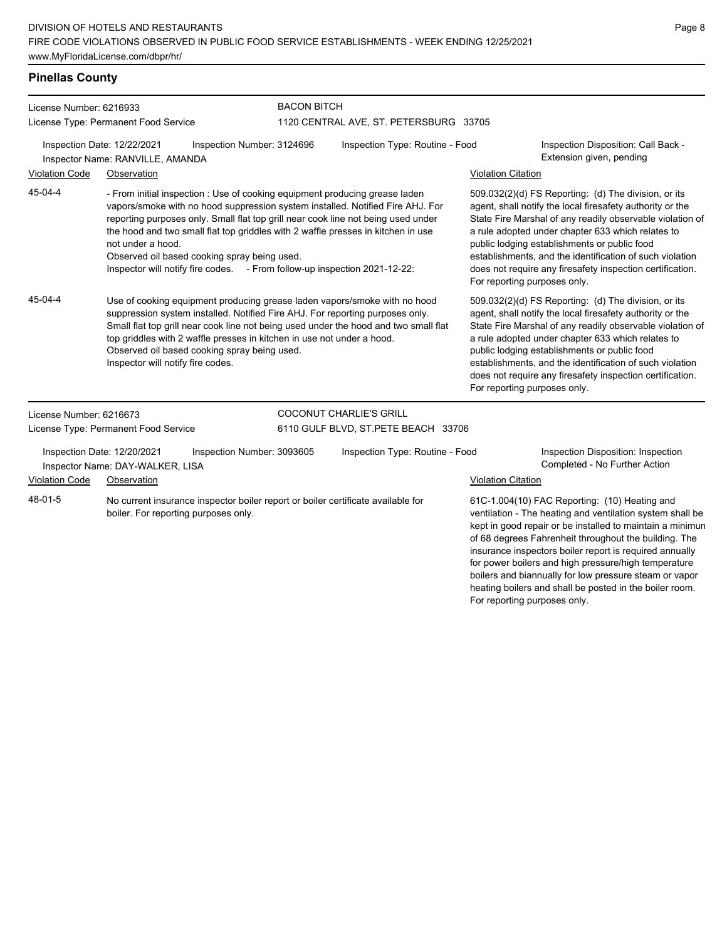# **Pinellas County**

| License Number: 6216933 |                                                                 |                                                                                                                                                                                                                                                                                                                                                                                                                                                                     | <b>BACON BITCH</b>                     |                                                                                                                                                                                                                                                                                                                                                                                                                                              |                                                                                                                                                                                                                                                                                                                                                                                                                                              |  |  |  |
|-------------------------|-----------------------------------------------------------------|---------------------------------------------------------------------------------------------------------------------------------------------------------------------------------------------------------------------------------------------------------------------------------------------------------------------------------------------------------------------------------------------------------------------------------------------------------------------|----------------------------------------|----------------------------------------------------------------------------------------------------------------------------------------------------------------------------------------------------------------------------------------------------------------------------------------------------------------------------------------------------------------------------------------------------------------------------------------------|----------------------------------------------------------------------------------------------------------------------------------------------------------------------------------------------------------------------------------------------------------------------------------------------------------------------------------------------------------------------------------------------------------------------------------------------|--|--|--|
|                         | License Type: Permanent Food Service                            |                                                                                                                                                                                                                                                                                                                                                                                                                                                                     | 1120 CENTRAL AVE, ST. PETERSBURG 33705 |                                                                                                                                                                                                                                                                                                                                                                                                                                              |                                                                                                                                                                                                                                                                                                                                                                                                                                              |  |  |  |
|                         | Inspection Date: 12/22/2021<br>Inspector Name: RANVILLE, AMANDA | Inspection Number: 3124696                                                                                                                                                                                                                                                                                                                                                                                                                                          | Inspection Type: Routine - Food        |                                                                                                                                                                                                                                                                                                                                                                                                                                              | Inspection Disposition: Call Back -<br>Extension given, pending                                                                                                                                                                                                                                                                                                                                                                              |  |  |  |
| Violation Code          | Observation                                                     |                                                                                                                                                                                                                                                                                                                                                                                                                                                                     |                                        | <b>Violation Citation</b>                                                                                                                                                                                                                                                                                                                                                                                                                    |                                                                                                                                                                                                                                                                                                                                                                                                                                              |  |  |  |
| 45-04-4                 | not under a hood.                                               | - From initial inspection : Use of cooking equipment producing grease laden<br>vapors/smoke with no hood suppression system installed. Notified Fire AHJ. For<br>reporting purposes only. Small flat top grill near cook line not being used under<br>the hood and two small flat top griddles with 2 waffle presses in kitchen in use<br>Observed oil based cooking spray being used.<br>Inspector will notify fire codes. - From follow-up inspection 2021-12-22: |                                        |                                                                                                                                                                                                                                                                                                                                                                                                                                              | 509.032(2)(d) FS Reporting: (d) The division, or its<br>agent, shall notify the local firesafety authority or the<br>State Fire Marshal of any readily observable violation of<br>a rule adopted under chapter 633 which relates to<br>public lodging establishments or public food<br>establishments, and the identification of such violation<br>does not require any firesafety inspection certification.<br>For reporting purposes only. |  |  |  |
| 45-04-4                 | Inspector will notify fire codes.                               | Use of cooking equipment producing grease laden vapors/smoke with no hood<br>suppression system installed. Notified Fire AHJ. For reporting purposes only.<br>Small flat top grill near cook line not being used under the hood and two small flat<br>top griddles with 2 waffle presses in kitchen in use not under a hood.<br>Observed oil based cooking spray being used.                                                                                        |                                        | 509.032(2)(d) FS Reporting: (d) The division, or its<br>agent, shall notify the local firesafety authority or the<br>State Fire Marshal of any readily observable violation of<br>a rule adopted under chapter 633 which relates to<br>public lodging establishments or public food<br>establishments, and the identification of such violation<br>does not require any firesafety inspection certification.<br>For reporting purposes only. |                                                                                                                                                                                                                                                                                                                                                                                                                                              |  |  |  |
| License Number: 6216673 |                                                                 |                                                                                                                                                                                                                                                                                                                                                                                                                                                                     | <b>COCONUT CHARLIE'S GRILL</b>         |                                                                                                                                                                                                                                                                                                                                                                                                                                              |                                                                                                                                                                                                                                                                                                                                                                                                                                              |  |  |  |
|                         | License Type: Permanent Food Service                            |                                                                                                                                                                                                                                                                                                                                                                                                                                                                     | 6110 GULF BLVD, ST.PETE BEACH 33706    |                                                                                                                                                                                                                                                                                                                                                                                                                                              |                                                                                                                                                                                                                                                                                                                                                                                                                                              |  |  |  |
|                         | Inspection Date: 12/20/2021<br>Inspector Name: DAY-WALKER, LISA | Inspection Number: 3093605                                                                                                                                                                                                                                                                                                                                                                                                                                          | Inspection Type: Routine - Food        |                                                                                                                                                                                                                                                                                                                                                                                                                                              | Inspection Disposition: Inspection<br>Completed - No Further Action                                                                                                                                                                                                                                                                                                                                                                          |  |  |  |
| <b>Violation Code</b>   | Observation                                                     |                                                                                                                                                                                                                                                                                                                                                                                                                                                                     |                                        | <b>Violation Citation</b>                                                                                                                                                                                                                                                                                                                                                                                                                    |                                                                                                                                                                                                                                                                                                                                                                                                                                              |  |  |  |
| 48-01-5                 | boiler. For reporting purposes only.                            | No current insurance inspector boiler report or boiler certificate available for                                                                                                                                                                                                                                                                                                                                                                                    |                                        |                                                                                                                                                                                                                                                                                                                                                                                                                                              | 61C-1.004(10) FAC Reporting: (10) Heating and<br>ventilation - The heating and ventilation system shall be<br>kept in good repair or be installed to maintain a minimun<br>of 68 degrees Fahrenheit throughout the building. The<br>insurance inspectors boiler report is required annually<br>for power boilers and high pressure/high temperature<br>boilers and biannually for low pressure steam or vapor                                |  |  |  |

heating boilers and shall be posted in the boiler room.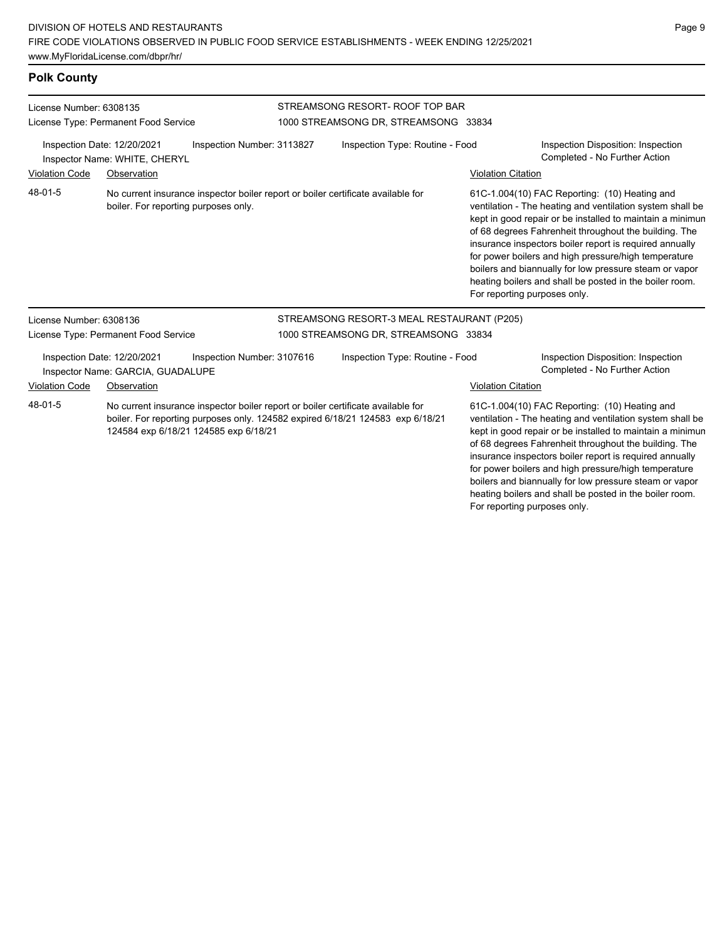# **Polk County**

| License Number: 6308135<br>License Type: Permanent Food Service<br>Inspection Date: 12/20/2021<br>Inspection Number: 3113827<br>Inspector Name: WHITE, CHERYL |                                                                  |                                       | STREAMSONG RESORT- ROOF TOP BAR<br>1000 STREAMSONG DR, STREAMSONG 33834                                                                                            |                           |                                                                                                                                                                                                                                                                                                                                                                                                                                                                                                          |
|---------------------------------------------------------------------------------------------------------------------------------------------------------------|------------------------------------------------------------------|---------------------------------------|--------------------------------------------------------------------------------------------------------------------------------------------------------------------|---------------------------|----------------------------------------------------------------------------------------------------------------------------------------------------------------------------------------------------------------------------------------------------------------------------------------------------------------------------------------------------------------------------------------------------------------------------------------------------------------------------------------------------------|
|                                                                                                                                                               |                                                                  |                                       | Inspection Type: Routine - Food                                                                                                                                    |                           | Inspection Disposition: Inspection<br>Completed - No Further Action                                                                                                                                                                                                                                                                                                                                                                                                                                      |
| <b>Violation Code</b>                                                                                                                                         | Observation                                                      |                                       |                                                                                                                                                                    | <b>Violation Citation</b> |                                                                                                                                                                                                                                                                                                                                                                                                                                                                                                          |
| 48-01-5                                                                                                                                                       | boiler. For reporting purposes only.                             |                                       | No current insurance inspector boiler report or boiler certificate available for                                                                                   |                           | 61C-1.004(10) FAC Reporting: (10) Heating and<br>ventilation - The heating and ventilation system shall be<br>kept in good repair or be installed to maintain a minimun<br>of 68 degrees Fahrenheit throughout the building. The<br>insurance inspectors boiler report is required annually<br>for power boilers and high pressure/high temperature<br>boilers and biannually for low pressure steam or vapor<br>heating boilers and shall be posted in the boiler room.<br>For reporting purposes only. |
| License Number: 6308136                                                                                                                                       |                                                                  |                                       | STREAMSONG RESORT-3 MEAL RESTAURANT (P205)                                                                                                                         |                           |                                                                                                                                                                                                                                                                                                                                                                                                                                                                                                          |
|                                                                                                                                                               | License Type: Permanent Food Service                             |                                       | 1000 STREAMSONG DR, STREAMSONG 33834                                                                                                                               |                           |                                                                                                                                                                                                                                                                                                                                                                                                                                                                                                          |
|                                                                                                                                                               | Inspection Date: 12/20/2021<br>Inspector Name: GARCIA, GUADALUPE | Inspection Number: 3107616            | Inspection Type: Routine - Food                                                                                                                                    |                           | Inspection Disposition: Inspection<br>Completed - No Further Action                                                                                                                                                                                                                                                                                                                                                                                                                                      |
| <b>Violation Code</b>                                                                                                                                         | Observation                                                      |                                       |                                                                                                                                                                    | <b>Violation Citation</b> |                                                                                                                                                                                                                                                                                                                                                                                                                                                                                                          |
| 48-01-5                                                                                                                                                       |                                                                  | 124584 exp 6/18/21 124585 exp 6/18/21 | No current insurance inspector boiler report or boiler certificate available for<br>boiler. For reporting purposes only. 124582 expired 6/18/21 124583 exp 6/18/21 |                           | 61C-1.004(10) FAC Reporting: (10) Heating and<br>ventilation - The heating and ventilation system shall be<br>kept in good repair or be installed to maintain a minimun<br>of 68 degrees Fahrenheit throughout the building. The<br>insurance inspectors boiler report is required annually<br>for power boilers and high pressure/high temperature<br>boilers and biannually for low pressure steam or vapor<br>heating boilers and shall be posted in the boiler room.                                 |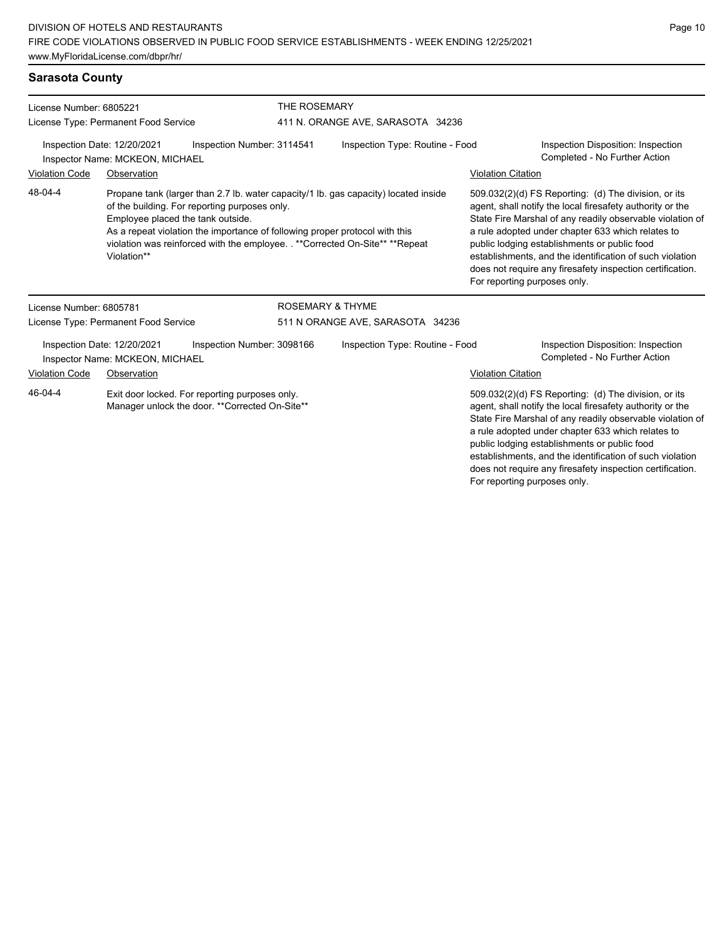# **Sarasota County**

| License Number: 6805221<br>License Type: Permanent Food Service<br>Inspection Date: 12/20/2021<br>Inspection Number: 3114541<br>Inspector Name: MCKEON, MICHAEL |                                                  |                                                                                                                              | THE ROSEMARY<br>411 N. ORANGE AVE, SARASOTA 34236 |                                                                                                                                                                     |                                                                     |                                                                                                                                                                                                                                                                                                                                                                                                              |
|-----------------------------------------------------------------------------------------------------------------------------------------------------------------|--------------------------------------------------|------------------------------------------------------------------------------------------------------------------------------|---------------------------------------------------|---------------------------------------------------------------------------------------------------------------------------------------------------------------------|---------------------------------------------------------------------|--------------------------------------------------------------------------------------------------------------------------------------------------------------------------------------------------------------------------------------------------------------------------------------------------------------------------------------------------------------------------------------------------------------|
|                                                                                                                                                                 |                                                  |                                                                                                                              | Inspection Type: Routine - Food                   |                                                                                                                                                                     | Inspection Disposition: Inspection<br>Completed - No Further Action |                                                                                                                                                                                                                                                                                                                                                                                                              |
| <b>Violation Code</b>                                                                                                                                           | Observation                                      |                                                                                                                              |                                                   |                                                                                                                                                                     | <b>Violation Citation</b>                                           |                                                                                                                                                                                                                                                                                                                                                                                                              |
| 48-04-4                                                                                                                                                         | Employee placed the tank outside.<br>Violation** | of the building. For reporting purposes only.<br>As a repeat violation the importance of following proper protocol with this |                                                   | Propane tank (larger than 2.7 lb. water capacity/1 lb. gas capacity) located inside<br>violation was reinforced with the employee. ** Corrected On-Site** ** Repeat | For reporting purposes only.                                        | 509.032(2)(d) FS Reporting: (d) The division, or its<br>agent, shall notify the local firesafety authority or the<br>State Fire Marshal of any readily observable violation of<br>a rule adopted under chapter 633 which relates to<br>public lodging establishments or public food<br>establishments, and the identification of such violation<br>does not require any firesafety inspection certification. |
| License Number: 6805781                                                                                                                                         |                                                  |                                                                                                                              | <b>ROSEMARY &amp; THYME</b>                       |                                                                                                                                                                     |                                                                     |                                                                                                                                                                                                                                                                                                                                                                                                              |
|                                                                                                                                                                 | License Type: Permanent Food Service             |                                                                                                                              |                                                   | 511 N ORANGE AVE, SARASOTA 34236                                                                                                                                    |                                                                     |                                                                                                                                                                                                                                                                                                                                                                                                              |
| Inspection Date: 12/20/2021                                                                                                                                     | Inspector Name: MCKEON, MICHAEL                  | Inspection Number: 3098166                                                                                                   |                                                   | Inspection Type: Routine - Food                                                                                                                                     |                                                                     | Inspection Disposition: Inspection<br>Completed - No Further Action                                                                                                                                                                                                                                                                                                                                          |
| <b>Violation Code</b>                                                                                                                                           | Observation                                      |                                                                                                                              |                                                   |                                                                                                                                                                     | <b>Violation Citation</b>                                           |                                                                                                                                                                                                                                                                                                                                                                                                              |
| 46-04-4                                                                                                                                                         |                                                  | Exit door locked. For reporting purposes only.<br>Manager unlock the door. ** Corrected On-Site**                            |                                                   |                                                                                                                                                                     |                                                                     | 509.032(2)(d) FS Reporting: (d) The division, or its<br>agent, shall notify the local firesafety authority or the<br>State Fire Marshal of any readily observable violation of<br>a rule adopted under chapter 633 which relates to                                                                                                                                                                          |

public lodging establishments or public food establishments, and the identification of such violation does not require any firesafety inspection certification. For reporting purposes only.